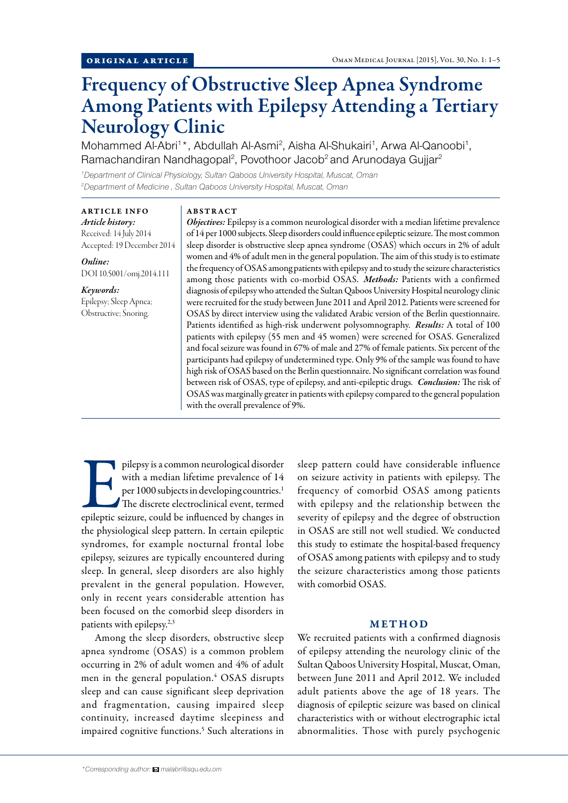# Frequency of Obstructive Sleep Apnea Syndrome Among Patients with Epilepsy Attending a Tertiary Neurology Clinic

Mohammed Al-Abri<sup>1\*</sup>, Abdullah Al-Asmi<sup>2</sup>, Aisha Al-Shukairi<sup>1</sup>, Arwa Al-Qanoobi<sup>1</sup>, Ramachandiran Nandhagopal<sup>2</sup>, Povothoor Jacob<sup>2</sup> and Arunodaya Gujjar<sup>2</sup>

*1 Department of Clinical Physiology, Sultan Qaboos University Hospital, Muscat, Oman 2 Department of Medicine , Sultan Qaboos University Hospital, Muscat, Oman*

# ARTICLE INFO *Article history:*  Received: 14 July 2014

Accepted: 19 December 2014

*Online:* DOI 10.5001/omj.2014.111

*Keywords:*  Epilepsy; Sleep Apnea; Obstructive; Snoring.

## ABSTRACT

*Objectives:* Epilepsy is a common neurological disorder with a median lifetime prevalence of 14 per 1000 subjects. Sleep disorders could influence epileptic seizure. The most common sleep disorder is obstructive sleep apnea syndrome (OSAS) which occurs in 2% of adult women and 4% of adult men in the general population. The aim of this study is to estimate the frequency of OSAS among patients with epilepsy and to study the seizure characteristics among those patients with co-morbid OSAS. *Methods:* Patients with a confirmed diagnosis of epilepsy who attended the Sultan Qaboos University Hospital neurology clinic were recruited for the study between June 2011 and April 2012. Patients were screened for OSAS by direct interview using the validated Arabic version of the Berlin questionnaire. Patients identified as high-risk underwent polysomnography. *Results:* A total of 100 patients with epilepsy (55 men and 45 women) were screened for OSAS. Generalized and focal seizure was found in 67% of male and 27% of female patients. Six percent of the participants had epilepsy of undetermined type. Only 9% of the sample was found to have high risk of OSAS based on the Berlin questionnaire. No significant correlation was found between risk of OSAS, type of epilepsy, and anti-epileptic drugs. *Conclusion:* The risk of OSAS was marginally greater in patients with epilepsy compared to the general population with the overall prevalence of 9%.

pilepsy is a common neurological disorder<br>
with a median lifetime prevalence of 14<br>
per 1000 subjects in developing countries.<sup>1</sup><br>
The discrete electroclinical event, termed<br>
epileptic seizure, could be influenced by chang with a median lifetime prevalence of 14 per 1000 subjects in developing countries.<sup>1</sup> The discrete electroclinical event, termed the physiological sleep pattern. In certain epileptic syndromes, for example nocturnal frontal lobe epilepsy, seizures are typically encountered during sleep. In general, sleep disorders are also highly prevalent in the general population. However, only in recent years considerable attention has been focused on the comorbid sleep disorders in patients with epilepsy.2,3

Among the sleep disorders, obstructive sleep apnea syndrome (OSAS) is a common problem occurring in 2% of adult women and 4% of adult men in the general population.4 OSAS disrupts sleep and can cause significant sleep deprivation and fragmentation, causing impaired sleep continuity, increased daytime sleepiness and impaired cognitive functions.<sup>5</sup> Such alterations in sleep pattern could have considerable influence on seizure activity in patients with epilepsy. The frequency of comorbid OSAS among patients with epilepsy and the relationship between the severity of epilepsy and the degree of obstruction in OSAS are still not well studied. We conducted this study to estimate the hospital-based frequency of OSAS among patients with epilepsy and to study the seizure characteristics among those patients with comorbid OSAS.

## **METHOD**

We recruited patients with a confirmed diagnosis of epilepsy attending the neurology clinic of the Sultan Qaboos University Hospital, Muscat, Oman, between June 2011 and April 2012. We included adult patients above the age of 18 years. The diagnosis of epileptic seizure was based on clinical characteristics with or without electrographic ictal abnormalities. Those with purely psychogenic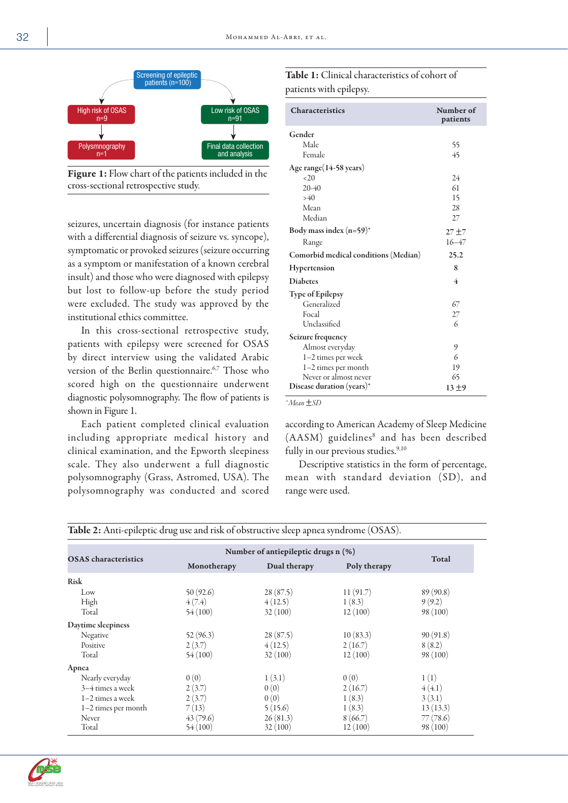

Figure 1: Flow chart of the patients included in the cross-sectional retrospective study.

seizures, uncertain diagnosis (for instance patients with a differential diagnosis of seizure vs. syncope), symptomatic or provoked seizures (seizure occurring as a symptom or manifestation of a known cerebral insult) and those who were diagnosed with epilepsy but lost to follow-up before the study period were excluded. The study was approved by the institutional ethics committee.

In this cross-sectional retrospective study, patients with epilepsy were screened for OSAS by direct interview using the validated Arabic version of the Berlin questionnaire.<sup>6,7</sup> Those who scored high on the questionnaire underwent diagnostic polysomnography. The flow of patients is shown in Figure 1.

Each patient completed clinical evaluation including appropriate medical history and clinical examination, and the Epworth sleepiness scale. They also underwent a full diagnostic polysomnography (Grass, Astromed, USA). The polysomnography was conducted and scored

| Table 1: Clinical characteristics of cohort of |  |
|------------------------------------------------|--|
| patients with epilepsy.                        |  |

| <b>Characteristics</b>               | Number of<br>patients |
|--------------------------------------|-----------------------|
| Gender                               |                       |
| Male                                 | 55                    |
| Female                               | 45                    |
| Age range(14-58 years)               |                       |
| <20                                  | 24                    |
| $20-40$                              | 61                    |
| >40                                  | 15                    |
| Mean                                 | 28                    |
| Median                               | 27                    |
| Body mass index $(n=59)^*$           | $27 + 7$              |
| Range                                | $16 - 47$             |
| Comorbid medical conditions (Median) | 25.2                  |
| Hypertension                         | 8                     |
| <b>Diabetes</b>                      | 4                     |
| <b>Type of Epilepsy</b>              |                       |
| Generalized                          | 67                    |
| Focal                                | 27                    |
| Unclassified                         | 6                     |
| Seizure frequency                    |                       |
| Almost everyday                      | 9                     |
| 1-2 times per week                   | 6                     |
| 1-2 times per month                  | 19                    |
| Never or almost never                | 65                    |
| Disease duration $(years)*$          | 13±9                  |

*\* Mean* ±*SD*

according to American Academy of Sleep Medicine (AASM) guidelines<sup>8</sup> and has been described fully in our previous studies.<sup>9,10</sup>

Descriptive statistics in the form of percentage, mean with standard deviation (SD), and range were used.

| <b>OSAS</b> characteristics | Number of antiepileptic drugs n (%) |              |              | Total    |
|-----------------------------|-------------------------------------|--------------|--------------|----------|
|                             | Monotherapy                         | Dual therapy | Poly therapy |          |
| <b>Risk</b>                 |                                     |              |              |          |
| Low                         | 50(92.6)                            | 28(87.5)     | 11(91.7)     | 89(90.8) |
| High                        | 4(7.4)                              | 4(12.5)      | 1(8.3)       | 9(9.2)   |
| Total                       | 54(100)                             | 32(100)      | 12(100)      | 98(100)  |
| Daytime sleepiness          |                                     |              |              |          |
| Negative                    | 52(96.3)                            | 28(87.5)     | 10(83.3)     | 90(91.8) |
| Positive                    | 2(3.7)                              | 4(12.5)      | 2(16.7)      | 8(8.2)   |
| Total                       | 54(100)                             | 32(100)      | 12(100)      | 98(100)  |
| Apnea                       |                                     |              |              |          |
| Nearly everyday             | 0(0)                                | 1(3.1)       | 0(0)         | 1(1)     |
| 3–4 times a week            | 2(3.7)                              | 0(0)         | 2(16.7)      | 4(4.1)   |
| $1-2$ times a week          | 2(3.7)                              | 0(0)         | 1(8.3)       | 3(3.1)   |
| $1-2$ times per month       | 7(13)                               | 5(15.6)      | 1(8.3)       | 13(13.3) |
| Never                       | 43 (79.6)                           | 26(81.3)     | 8(66.7)      | 77(78.6) |
| Total                       | 54(100)                             | 32(100)      | 12(100)      | 98 (100) |



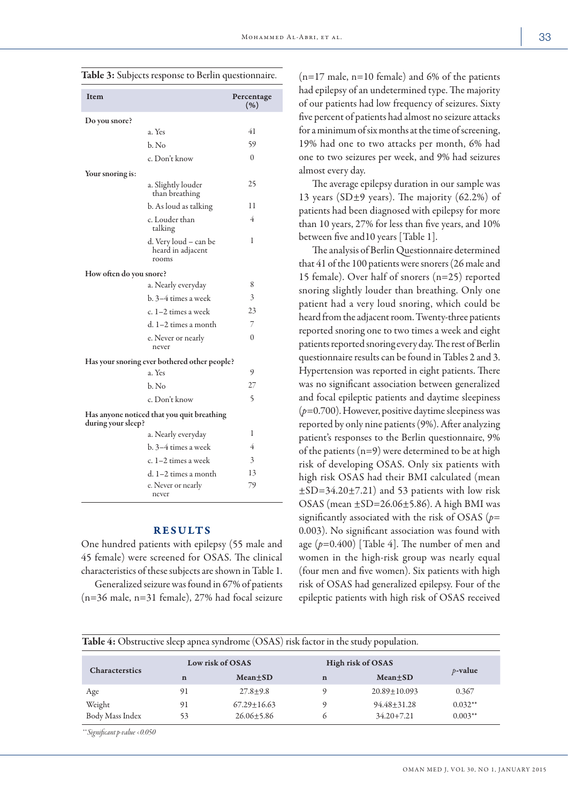| Item                                                             |                                                     | Percentage<br>(% ) |  |  |
|------------------------------------------------------------------|-----------------------------------------------------|--------------------|--|--|
| Do you snore?                                                    |                                                     |                    |  |  |
|                                                                  | a. Yes                                              | 41                 |  |  |
|                                                                  | b. No                                               | 59                 |  |  |
|                                                                  | c. Don't know                                       | $\theta$           |  |  |
| Your snoring is:                                                 |                                                     |                    |  |  |
|                                                                  | a. Slightly louder<br>than breathing                | 25                 |  |  |
|                                                                  | b. As loud as talking                               | 11                 |  |  |
|                                                                  | c. Louder than<br>talking                           | 4                  |  |  |
|                                                                  | d. Very loud - can be<br>heard in adjacent<br>rooms | 1                  |  |  |
| How often do you snore?                                          |                                                     |                    |  |  |
|                                                                  | a. Nearly everyday                                  | 8                  |  |  |
|                                                                  | b. 3–4 times a week                                 | 3                  |  |  |
|                                                                  | c. 1–2 times a week                                 | 23                 |  |  |
|                                                                  | d. 1-2 times a month                                | 7                  |  |  |
|                                                                  | e. Never or nearly<br>never                         | $\theta$           |  |  |
|                                                                  | Has your snoring ever bothered other people?        |                    |  |  |
|                                                                  | a. Yes                                              | 9                  |  |  |
|                                                                  | b. No                                               | 27                 |  |  |
|                                                                  | c. Don't know                                       | 5                  |  |  |
| Has anyone noticed that you quit breathing<br>during your sleep? |                                                     |                    |  |  |
|                                                                  | a. Nearly everyday                                  | 1                  |  |  |
|                                                                  | b. 3–4 times a week                                 | 4                  |  |  |
|                                                                  | c. 1–2 times a week                                 | 3                  |  |  |
|                                                                  | d. 1-2 times a month                                | 13                 |  |  |
|                                                                  | e. Never or nearly<br>never                         | 79                 |  |  |

Table 3: Subjects response to Berlin questionnaire.

### RESULTS

One hundred patients with epilepsy (55 male and 45 female) were screened for OSAS. The clinical characteristics of these subjects are shown in Table 1.

Generalized seizure was found in 67% of patients (n=36 male, n=31 female), 27% had focal seizure

 $(n=17 \text{ male}, n=10 \text{ female})$  and 6% of the patients had epilepsy of an undetermined type. The majority of our patients had low frequency of seizures. Sixty five percent of patients had almost no seizure attacks for a minimum of six months at the time of screening, 19% had one to two attacks per month, 6% had one to two seizures per week, and 9% had seizures almost every day.

The average epilepsy duration in our sample was 13 years (SD $\pm$ 9 years). The majority (62.2%) of patients had been diagnosed with epilepsy for more than 10 years, 27% for less than five years, and 10% between five and10 years [Table 1].

The analysis of Berlin Questionnaire determined that 41 of the 100 patients were snorers (26 male and 15 female). Over half of snorers (n=25) reported snoring slightly louder than breathing. Only one patient had a very loud snoring, which could be heard from the adjacent room. Twenty-three patients reported snoring one to two times a week and eight patients reported snoring every day. The rest of Berlin questionnaire results can be found in Tables 2 and 3. Hypertension was reported in eight patients. There was no significant association between generalized and focal epileptic patients and daytime sleepiness (*p*=0.700). However, positive daytime sleepiness was reported by only nine patients (9%). After analyzing patient's responses to the Berlin questionnaire, 9% of the patients  $(n=9)$  were determined to be at high risk of developing OSAS. Only six patients with high risk OSAS had their BMI calculated (mean  $\pm$ SD=34.20 $\pm$ 7.21) and 53 patients with low risk OSAS (mean  $\pm$ SD=26.06 $\pm$ 5.86). A high BMI was significantly associated with the risk of OSAS (*p*= 0.003). No significant association was found with age (*p*=0.400) [Table 4]. The number of men and women in the high-risk group was nearly equal (four men and five women). Six patients with high risk of OSAS had generalized epilepsy. Four of the epileptic patients with high risk of OSAS received

| <b>Table 4:</b> Obstructive sleep apnea syndrome (OSAS) risk factor in the study population. |                                       |                  |             |                    |            |  |  |
|----------------------------------------------------------------------------------------------|---------------------------------------|------------------|-------------|--------------------|------------|--|--|
|                                                                                              | High risk of OSAS<br>Low risk of OSAS |                  |             |                    |            |  |  |
| Characterstics                                                                               | $\mathbf n$                           | $Mean \pm SD$    | $\mathbf n$ | Mean+SD            | $p$ -value |  |  |
| Age                                                                                          | 91                                    | $27.8 + 9.8$     |             | $20.89 \pm 10.093$ | 0.367      |  |  |
| Weight                                                                                       | 91                                    | $67.29 + 16.63$  | G)          | $94.48 + 31.28$    | $0.032**$  |  |  |
| Body Mass Index                                                                              | 53                                    | $26.06 \pm 5.86$ | 6           | $34.20 + 7.21$     | $0.003**$  |  |  |

*\*\* Significant p-value <0.050*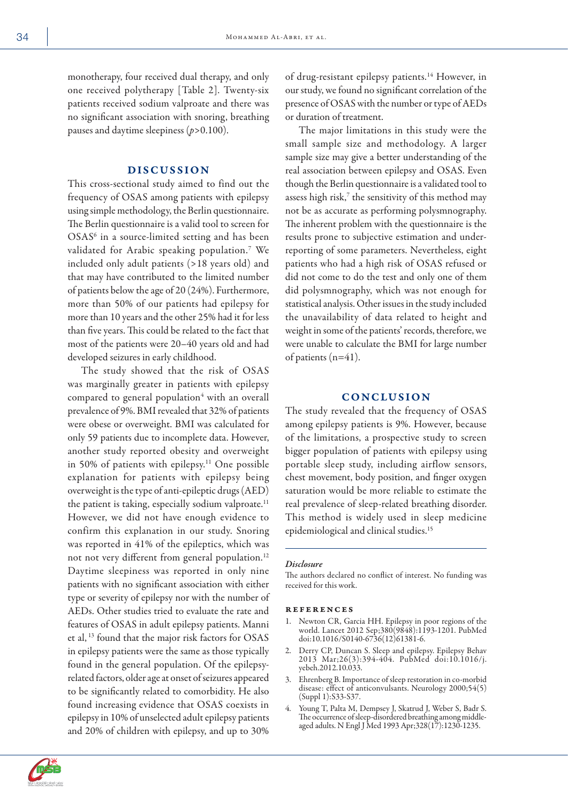monotherapy, four received dual therapy, and only one received polytherapy [Table 2]. Twenty-six patients received sodium valproate and there was no significant association with snoring, breathing pauses and daytime sleepiness (*p*>0.100).

#### DISCUSSION

This cross-sectional study aimed to find out the frequency of OSAS among patients with epilepsy using simple methodology, the Berlin questionnaire. The Berlin questionnaire is a valid tool to screen for OSAS<sup>6</sup> in a source-limited setting and has been validated for Arabic speaking population.7 We included only adult patients (>18 years old) and that may have contributed to the limited number of patients below the age of 20 (24%). Furthermore, more than 50% of our patients had epilepsy for more than 10 years and the other 25% had it for less than five years. This could be related to the fact that most of the patients were 20–40 years old and had developed seizures in early childhood.

The study showed that the risk of OSAS was marginally greater in patients with epilepsy compared to general population<sup>4</sup> with an overall prevalence of 9%. BMI revealed that 32% of patients were obese or overweight. BMI was calculated for only 59 patients due to incomplete data. However, another study reported obesity and overweight in 50% of patients with epilepsy.<sup>11</sup> One possible explanation for patients with epilepsy being overweight is the type of anti-epileptic drugs (AED) the patient is taking, especially sodium valproate.<sup>11</sup> However, we did not have enough evidence to confirm this explanation in our study. Snoring was reported in 41% of the epileptics, which was not not very different from general population.12 Daytime sleepiness was reported in only nine patients with no significant association with either type or severity of epilepsy nor with the number of AEDs. Other studies tried to evaluate the rate and features of OSAS in adult epilepsy patients. Manni et al, 13 found that the major risk factors for OSAS in epilepsy patients were the same as those typically found in the general population. Of the epilepsyrelated factors, older age at onset of seizures appeared to be significantly related to comorbidity. He also found increasing evidence that OSAS coexists in epilepsy in 10% of unselected adult epilepsy patients and 20% of children with epilepsy, and up to 30%

of drug-resistant epilepsy patients.<sup>14</sup> However, in our study, we found no significant correlation of the presence of OSAS with the number or type of AEDs or duration of treatment.

The major limitations in this study were the small sample size and methodology. A larger sample size may give a better understanding of the real association between epilepsy and OSAS. Even though the Berlin questionnaire is a validated tool to assess high risk, $7$  the sensitivity of this method may not be as accurate as performing polysmnography. The inherent problem with the questionnaire is the results prone to subjective estimation and underreporting of some parameters. Nevertheless, eight patients who had a high risk of OSAS refused or did not come to do the test and only one of them did polysmnography, which was not enough for statistical analysis. Other issues in the study included the unavailability of data related to height and weight in some of the patients' records, therefore, we were unable to calculate the BMI for large number of patients (n=41).

## **CONCLUSION**

The study revealed that the frequency of OSAS among epilepsy patients is 9%. However, because of the limitations, a prospective study to screen bigger population of patients with epilepsy using portable sleep study, including airflow sensors, chest movement, body position, and finger oxygen saturation would be more reliable to estimate the real prevalence of sleep-related breathing disorder. This method is widely used in sleep medicine epidemiological and clinical studies.15

#### *Disclosure*

The authors declared no conflict of interest. No funding was received for this work.

#### references

- 1. Newton CR, Garcia HH. Epilepsy in poor regions of the world. Lancet 2012 Sep;380(9848):1193-1201. PubMed doi:10.1016/S0140-6736(12)61381-6.
- 2. Derry CP, Duncan S. Sleep and epilepsy. Epilepsy Behav 2013 Mar;26(3):394-404. PubMed doi:10.1016/j. yebeh.2012.10.033.
- 3. Ehrenberg B. Importance of sleep restoration in co-morbid disease: effect of anticonvulsants. Neurology 2000;54(5) (Suppl 1):S33-S37.
- 4. Young T, Palta M, Dempsey J, Skatrud J, Weber S, Badr S. The occurrence of sleep-disordered breathing among middleaged adults. N Engl J Med 1993 Apr;328(17):1230-1235.